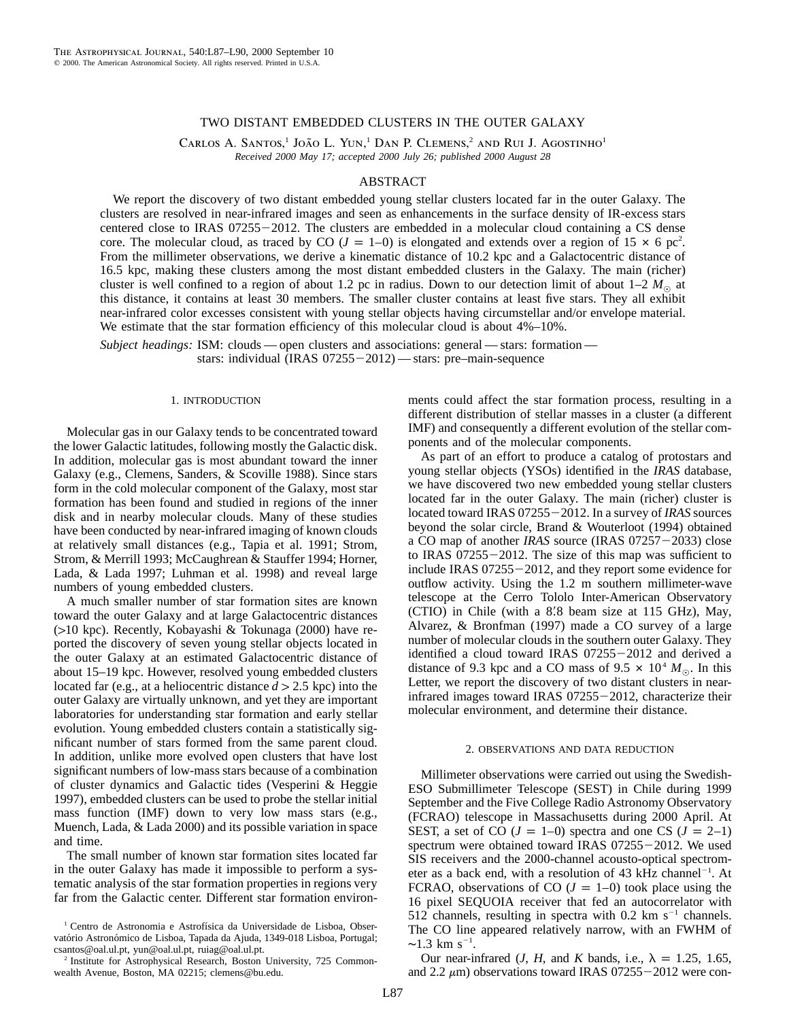# TWO DISTANT EMBEDDED CLUSTERS IN THE OUTER GALAXY

CARLOS A. SANTOS,<sup>1</sup> JOÃO L. YUN,<sup>1</sup> DAN P. CLEMENS,<sup>2</sup> AND RUI J. AGOSTINHO<sup>1</sup> *Received 2000 May 17; accepted 2000 July 26; published 2000 August 28*

# ABSTRACT

We report the discovery of two distant embedded young stellar clusters located far in the outer Galaxy. The clusters are resolved in near-infrared images and seen as enhancements in the surface density of IR-excess stars centered close to IRAS  $07255 - 2012$ . The clusters are embedded in a molecular cloud containing a CS dense core. The molecular cloud, as traced by CO ( $J = 1 - 0$ ) is elongated and extends over a region of 15  $\times$  6 pc<sup>2</sup>. From the millimeter observations, we derive a kinematic distance of 10.2 kpc and a Galactocentric distance of 16.5 kpc, making these clusters among the most distant embedded clusters in the Galaxy. The main (richer) cluster is well confined to a region of about 1.2 pc in radius. Down to our detection limit of about  $1-2 M_{\odot}$  at this distance, it contains at least 30 members. The smaller cluster contains at least five stars. They all exhibit near-infrared color excesses consistent with young stellar objects having circumstellar and/or envelope material. We estimate that the star formation efficiency of this molecular cloud is about  $4\%$ –10%.

*Subject headings:* ISM: clouds — open clusters and associations: general — stars: formation stars: individual (IRAS 07255-2012) — stars: pre-main-sequence

## 1. INTRODUCTION

Molecular gas in our Galaxy tends to be concentrated toward the lower Galactic latitudes, following mostly the Galactic disk. In addition, molecular gas is most abundant toward the inner Galaxy (e.g., Clemens, Sanders, & Scoville 1988). Since stars form in the cold molecular component of the Galaxy, most star formation has been found and studied in regions of the inner disk and in nearby molecular clouds. Many of these studies have been conducted by near-infrared imaging of known clouds at relatively small distances (e.g., Tapia et al. 1991; Strom, Strom, & Merrill 1993; McCaughrean & Stauffer 1994; Horner, Lada, & Lada 1997; Luhman et al. 1998) and reveal large numbers of young embedded clusters.

A much smaller number of star formation sites are known toward the outer Galaxy and at large Galactocentric distances (110 kpc). Recently, Kobayashi & Tokunaga (2000) have reported the discovery of seven young stellar objects located in the outer Galaxy at an estimated Galactocentric distance of about 15–19 kpc. However, resolved young embedded clusters located far (e.g., at a heliocentric distance  $d > 2.5$  kpc) into the outer Galaxy are virtually unknown, and yet they are important laboratories for understanding star formation and early stellar evolution. Young embedded clusters contain a statistically significant number of stars formed from the same parent cloud. In addition, unlike more evolved open clusters that have lost significant numbers of low-mass stars because of a combination of cluster dynamics and Galactic tides (Vesperini & Heggie 1997), embedded clusters can be used to probe the stellar initial mass function (IMF) down to very low mass stars (e.g., Muench, Lada, & Lada 2000) and its possible variation in space and time.

The small number of known star formation sites located far in the outer Galaxy has made it impossible to perform a systematic analysis of the star formation properties in regions very far from the Galactic center. Different star formation environments could affect the star formation process, resulting in a different distribution of stellar masses in a cluster (a different IMF) and consequently a different evolution of the stellar components and of the molecular components.

As part of an effort to produce a catalog of protostars and young stellar objects (YSOs) identified in the *IRAS* database, we have discovered two new embedded young stellar clusters located far in the outer Galaxy. The main (richer) cluster is located toward IRAS 07255 – 2012. In a survey of *IRAS* sources beyond the solar circle, Brand & Wouterloot (1994) obtained a CO map of another *IRAS* source (IRAS 07257-2033) close to IRAS  $07255 - 2012$ . The size of this map was sufficient to include IRAS  $07255-2012$ , and they report some evidence for outflow activity. Using the 1.2 m southern millimeter-wave telescope at the Cerro Tololo Inter-American Observatory  $(CTIO)$  in Chile (with a  $8'8$  beam size at 115 GHz), May, Alvarez, & Bronfman (1997) made a CO survey of a large number of molecular clouds in the southern outer Galaxy. They identified a cloud toward IRAS  $07255 - 2012$  and derived a distance of 9.3 kpc and a CO mass of 9.5  $\times$  10<sup>4</sup>  $M_{\odot}$ . In this Letter, we report the discovery of two distant clusters in nearinfrared images toward IRAS  $07255 - 2012$ , characterize their molecular environment, and determine their distance.

## 2. OBSERVATIONS AND DATA REDUCTION

Millimeter observations were carried out using the Swedish-ESO Submillimeter Telescope (SEST) in Chile during 1999 September and the Five College Radio Astronomy Observatory (FCRAO) telescope in Massachusetts during 2000 April. At SEST, a set of CO  $(J = 1-0)$  spectra and one CS  $(J = 2-1)$ spectrum were obtained toward IRAS  $07255 - 2012$ . We used SIS receivers and the 2000-channel acousto-optical spectrometer as a back end, with a resolution of  $43$  kHz channel<sup>-1</sup>. At FCRAO, observations of CO  $(J = 1-0)$  took place using the 16 pixel SEQUOIA receiver that fed an autocorrelator with 512 channels, resulting in spectra with 0.2 km  $s^{-1}$  channels. The CO line appeared relatively narrow, with an FWHM of  $~1.3 \text{ km s}^{-1}$ 

Our near-infrared  $(J, H, \text{ and } K \text{ bands}, i.e., \lambda = 1.25, 1.65,$ and 2.2  $\mu$ m) observations toward IRAS 07255-2012 were con-

<sup>&</sup>lt;sup>1</sup> Centro de Astronomia e Astrofísica da Universidade de Lisboa, Observatório Astronómico de Lisboa, Tapada da Ajuda, 1349-018 Lisboa, Portugal; csantos@oal.ul.pt, yun@oal.ul.pt, ruiag@oal.ul.pt.

<sup>&</sup>lt;sup>2</sup> Institute for Astrophysical Research, Boston University, 725 Commonwealth Avenue, Boston, MA 02215; clemens@bu.edu.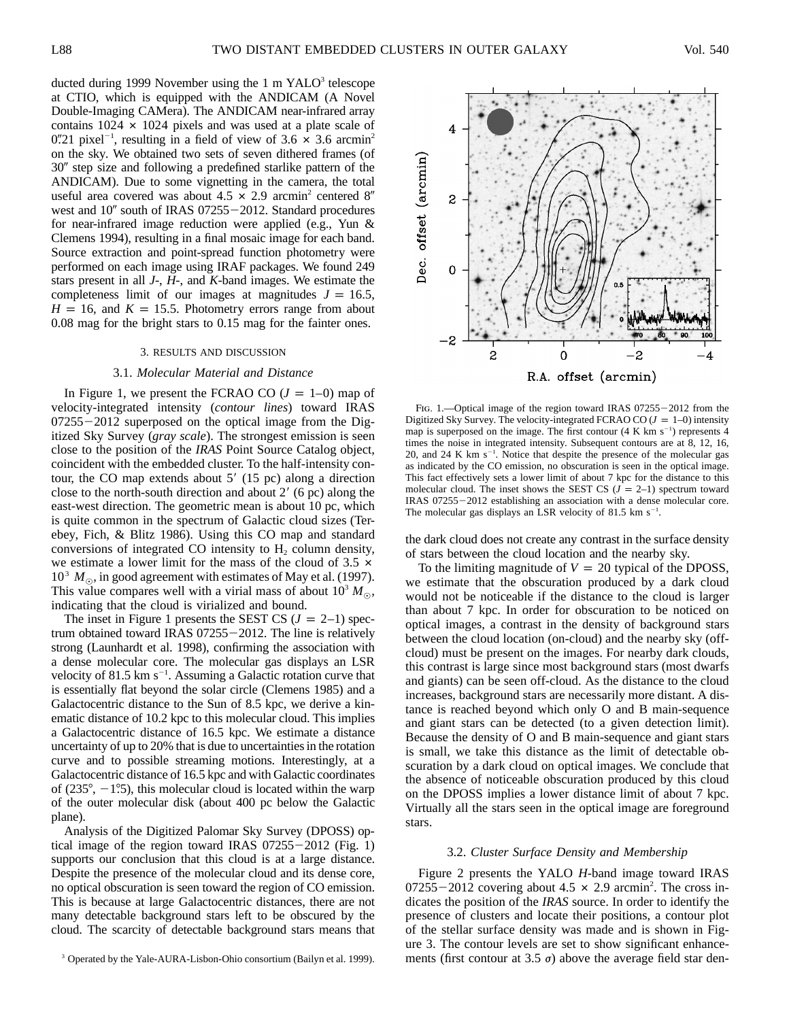ducted during 1999 November using the  $1 \text{ m } YALO<sup>3</sup>$  telescope at CTIO, which is equipped with the ANDICAM (A Novel Double-Imaging CAMera). The ANDICAM near-infrared array contains  $1024 \times 1024$  pixels and was used at a plate scale of 0".21 pixel<sup>-1</sup>, resulting in a field of view of 3.6  $\times$  3.6 arcmin<sup>2</sup> on the sky. We obtained two sets of seven dithered frames (of 30" step size and following a predefined starlike pattern of the ANDICAM). Due to some vignetting in the camera, the total useful area covered was about  $4.5 \times 2.9$  arcmin<sup>2</sup> centered 8<sup>"</sup> west and  $10''$  south of IRAS 07255 $-2012$ . Standard procedures for near-infrared image reduction were applied (e.g., Yun & Clemens 1994), resulting in a final mosaic image for each band. Source extraction and point-spread function photometry were performed on each image using IRAF packages. We found 249 stars present in all *J*-, *H*-, and *K*-band images. We estimate the completeness limit of our images at magnitudes  $J = 16.5$ ,  $H = 16$ , and  $K = 15.5$ . Photometry errors range from about 0.08 mag for the bright stars to 0.15 mag for the fainter ones.

## 3. RESULTS AND DISCUSSION

## 3.1. *Molecular Material and Distance*

In Figure 1, we present the FCRAO CO  $(J = 1-0)$  map of velocity-integrated intensity (*contour lines*) toward IRAS  $07255 - 2012$  superposed on the optical image from the Digitized Sky Survey (*gray scale*). The strongest emission is seen close to the position of the *IRAS* Point Source Catalog object, coincident with the embedded cluster. To the half-intensity contour, the CO map extends about  $5'$  (15 pc) along a direction close to the north-south direction and about  $2'$  (6 pc) along the east-west direction. The geometric mean is about 10 pc, which is quite common in the spectrum of Galactic cloud sizes (Terebey, Fich, & Blitz 1986). Using this CO map and standard conversions of integrated CO intensity to  $H<sub>2</sub>$  column density, we estimate a lower limit for the mass of the cloud of  $3.5 \times$  $10^3$   $M_{\odot}$ , in good agreement with estimates of May et al. (1997). This value compares well with a virial mass of about  $10^3 M_{\odot}$ , indicating that the cloud is virialized and bound.

The inset in Figure 1 presents the SEST CS  $(J = 2-1)$  spectrum obtained toward IRAS  $07255 - 2012$ . The line is relatively strong (Launhardt et al. 1998), confirming the association with a dense molecular core. The molecular gas displays an LSR velocity of 81.5 km  $s^{-1}$ . Assuming a Galactic rotation curve that is essentially flat beyond the solar circle (Clemens 1985) and a Galactocentric distance to the Sun of 8.5 kpc, we derive a kinematic distance of 10.2 kpc to this molecular cloud. This implies a Galactocentric distance of 16.5 kpc. We estimate a distance uncertainty of up to 20% that is due to uncertainties in the rotation curve and to possible streaming motions. Interestingly, at a Galactocentric distance of 16.5 kpc and with Galactic coordinates of (235 $^{\circ}$ , -1.5), this molecular cloud is located within the warp of the outer molecular disk (about 400 pc below the Galactic plane).

Analysis of the Digitized Palomar Sky Survey (DPOSS) optical image of the region toward IRAS  $07255-2012$  (Fig. 1) supports our conclusion that this cloud is at a large distance. Despite the presence of the molecular cloud and its dense core, no optical obscuration is seen toward the region of CO emission. This is because at large Galactocentric distances, there are not many detectable background stars left to be obscured by the cloud. The scarcity of detectable background stars means that



FIG. 1.—Optical image of the region toward IRAS  $07255-2012$  from the Digitized Sky Survey. The velocity-integrated FCRAO CO ( $J = 1-0$ ) intensity map is superposed on the image. The first contour  $(4 \text{ K km s}^{-1})$  represents 4 times the noise in integrated intensity. Subsequent contours are at 8, 12, 16, 20, and 24 K km  $s^{-1}$ . Notice that despite the presence of the molecular gas as indicated by the CO emission, no obscuration is seen in the optical image. This fact effectively sets a lower limit of about 7 kpc for the distance to this molecular cloud. The inset shows the SEST CS  $(J = 2-1)$  spectrum toward IRAS 07255-2012 establishing an association with a dense molecular core. The molecular gas displays an LSR velocity of 81.5 km  $s^{-1}$ .

the dark cloud does not create any contrast in the surface density of stars between the cloud location and the nearby sky.

To the limiting magnitude of  $V = 20$  typical of the DPOSS, we estimate that the obscuration produced by a dark cloud would not be noticeable if the distance to the cloud is larger than about 7 kpc. In order for obscuration to be noticed on optical images, a contrast in the density of background stars between the cloud location (on-cloud) and the nearby sky (offcloud) must be present on the images. For nearby dark clouds, this contrast is large since most background stars (most dwarfs and giants) can be seen off-cloud. As the distance to the cloud increases, background stars are necessarily more distant. A distance is reached beyond which only O and B main-sequence and giant stars can be detected (to a given detection limit). Because the density of O and B main-sequence and giant stars is small, we take this distance as the limit of detectable obscuration by a dark cloud on optical images. We conclude that the absence of noticeable obscuration produced by this cloud on the DPOSS implies a lower distance limit of about 7 kpc. Virtually all the stars seen in the optical image are foreground stars.

## 3.2. *Cluster Surface Density and Membership*

Figure 2 presents the YALO *H*-band image toward IRAS  $07255 - 2012$  covering about  $4.5 \times 2.9$  arcmin<sup>2</sup>. The cross indicates the position of the *IRAS* source. In order to identify the presence of clusters and locate their positions, a contour plot of the stellar surface density was made and is shown in Figure 3. The contour levels are set to show significant enhancements (first contour at 3.5  $\sigma$ ) above the average field star den-

<sup>&</sup>lt;sup>3</sup> Operated by the Yale-AURA-Lisbon-Ohio consortium (Bailyn et al. 1999).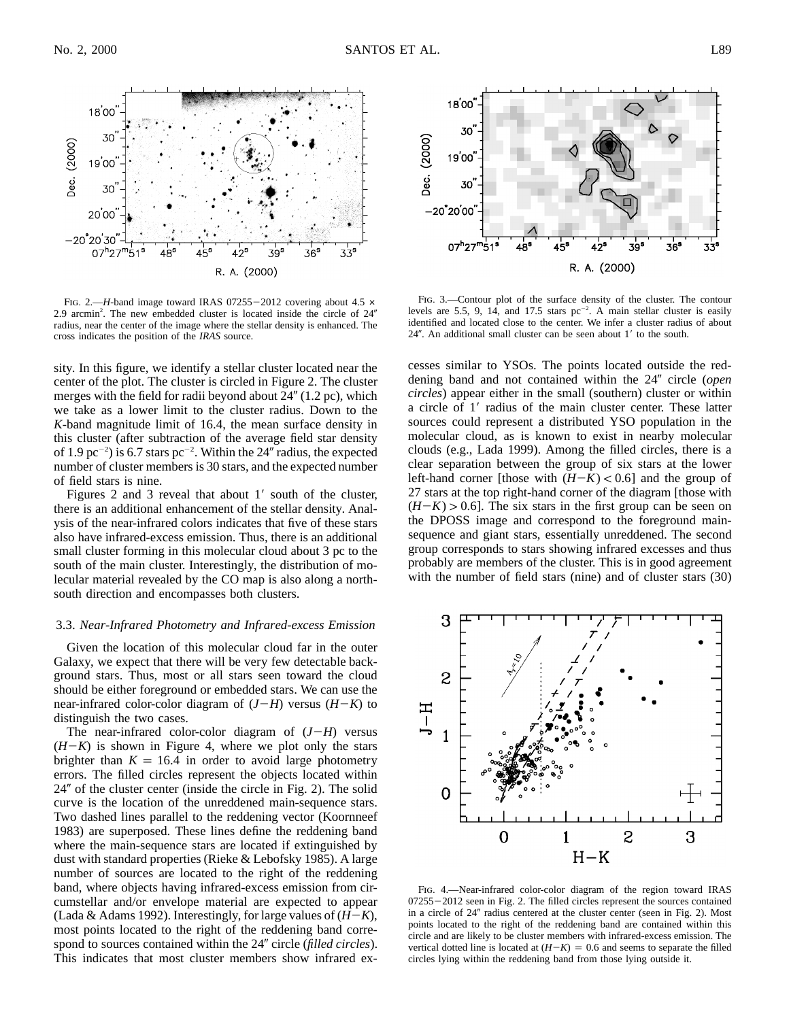

FIG. 2.—*H*-band image toward IRAS 07255-2012 covering about 4.5  $\times$ 2.9 arcmin<sup>2</sup>. The new embedded cluster is located inside the circle of  $24<sup>n</sup>$ radius, near the center of the image where the stellar density is enhanced. The cross indicates the position of the *IRAS* source.

sity. In this figure, we identify a stellar cluster located near the center of the plot. The cluster is circled in Figure 2. The cluster merges with the field for radii beyond about  $24''$  (1.2 pc), which we take as a lower limit to the cluster radius. Down to the *K*-band magnitude limit of 16.4, the mean surface density in this cluster (after subtraction of the average field star density of 1.9 pc<sup> $-2$ </sup>) is 6.7 stars pc<sup> $-2$ </sup>. Within the 24<sup>*''*</sup> radius, the expected number of cluster members is 30 stars, and the expected number of field stars is nine.

Figures  $2$  and  $3$  reveal that about  $1'$  south of the cluster, there is an additional enhancement of the stellar density. Analysis of the near-infrared colors indicates that five of these stars also have infrared-excess emission. Thus, there is an additional small cluster forming in this molecular cloud about 3 pc to the south of the main cluster. Interestingly, the distribution of molecular material revealed by the CO map is also along a northsouth direction and encompasses both clusters.

# 3.3. *Near-Infrared Photometry and Infrared-excess Emission*

Given the location of this molecular cloud far in the outer Galaxy, we expect that there will be very few detectable background stars. Thus, most or all stars seen toward the cloud should be either foreground or embedded stars. We can use the near-infrared color-color diagram of  $(J-H)$  versus  $(H-K)$  to distinguish the two cases.

The near-infrared color-color diagram of  $(J-H)$  versus  $(H-K)$  is shown in Figure 4, where we plot only the stars brighter than  $K = 16.4$  in order to avoid large photometry errors. The filled circles represent the objects located within  $24''$  of the cluster center (inside the circle in Fig. 2). The solid curve is the location of the unreddened main-sequence stars. Two dashed lines parallel to the reddening vector (Koornneef 1983) are superposed. These lines define the reddening band where the main-sequence stars are located if extinguished by dust with standard properties (Rieke & Lebofsky 1985). A large number of sources are located to the right of the reddening band, where objects having infrared-excess emission from circumstellar and/or envelope material are expected to appear (Lada & Adams 1992). Interestingly, for large values of  $(H-K)$ , most points located to the right of the reddening band correspond to sources contained within the 24" circle (*filled circles*). This indicates that most cluster members show infrared ex-



Fig. 3.—Contour plot of the surface density of the cluster. The contour levels are 5.5, 9, 14, and 17.5 stars  $pc^{-2}$ . A main stellar cluster is easily identified and located close to the center. We infer a cluster radius of about  $24$ ". An additional small cluster can be seen about  $1'$  to the south.

cesses similar to YSOs. The points located outside the reddening band and not contained within the 24" circle (*open*) *circles*) appear either in the small (southern) cluster or within a circle of 1' radius of the main cluster center. These latter sources could represent a distributed YSO population in the molecular cloud, as is known to exist in nearby molecular clouds (e.g., Lada 1999). Among the filled circles, there is a clear separation between the group of six stars at the lower left-hand corner [those with  $(H-K) < 0.6$ ] and the group of 27 stars at the top right-hand corner of the diagram [those with  $(H-K) > 0.6$ ]. The six stars in the first group can be seen on the DPOSS image and correspond to the foreground mainsequence and giant stars, essentially unreddened. The second group corresponds to stars showing infrared excesses and thus probably are members of the cluster. This is in good agreement with the number of field stars (nine) and of cluster stars  $(30)$ 



Fig. 4.—Near-infrared color-color diagram of the region toward IRAS  $07255 - 2012$  seen in Fig. 2. The filled circles represent the sources contained in a circle of 24" radius centered at the cluster center (seen in Fig. 2). Most points located to the right of the reddening band are contained within this circle and are likely to be cluster members with infrared-excess emission. The vertical dotted line is located at  $(H-K) = 0.6$  and seems to separate the filled circles lying within the reddening band from those lying outside it.